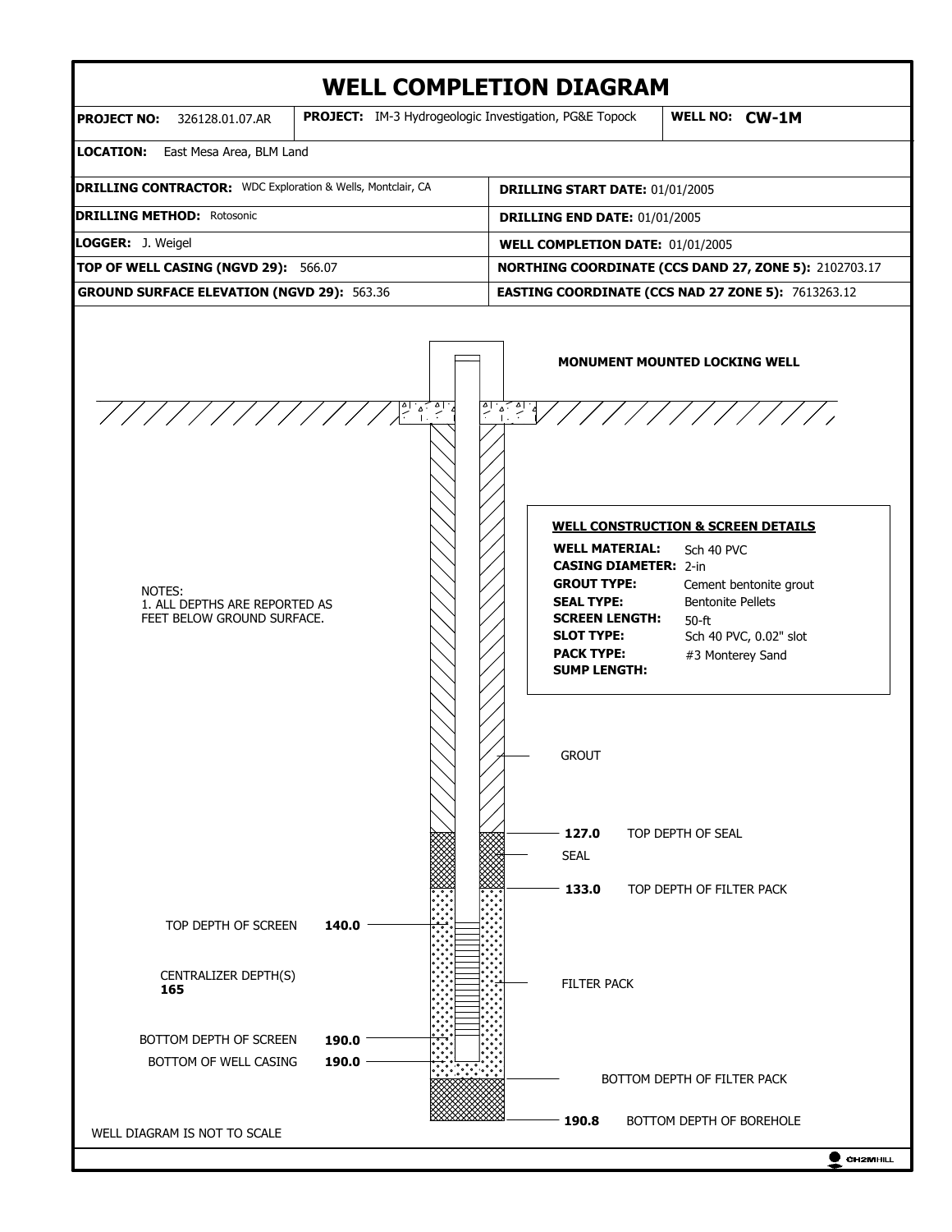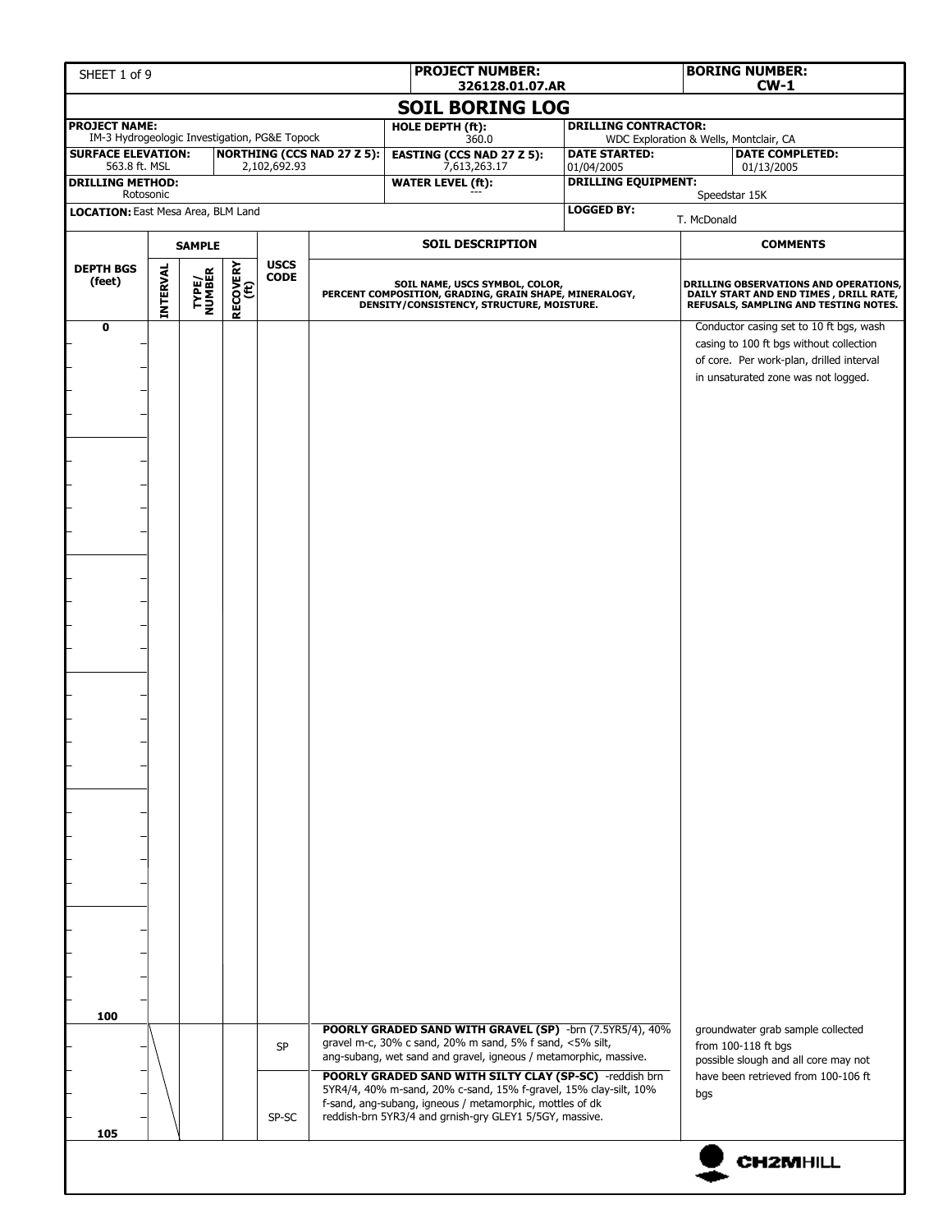| SHEET 1 of 9                                                          |                 |                 |                  |                            |                                   |                                          | <b>PROJECT NUMBER:</b><br>326128.01.07.AR                                                                                                                                                                                                                                                                                                                                                                                                      |                                                        |                             |  |                                        | <b>BORING NUMBER:</b><br>$CW-1$ |                                                                                                                                                                                                                                                |                                                                                                                          |
|-----------------------------------------------------------------------|-----------------|-----------------|------------------|----------------------------|-----------------------------------|------------------------------------------|------------------------------------------------------------------------------------------------------------------------------------------------------------------------------------------------------------------------------------------------------------------------------------------------------------------------------------------------------------------------------------------------------------------------------------------------|--------------------------------------------------------|-----------------------------|--|----------------------------------------|---------------------------------|------------------------------------------------------------------------------------------------------------------------------------------------------------------------------------------------------------------------------------------------|--------------------------------------------------------------------------------------------------------------------------|
|                                                                       |                 |                 |                  |                            |                                   |                                          | <b>SOIL BORING LOG</b>                                                                                                                                                                                                                                                                                                                                                                                                                         |                                                        |                             |  |                                        |                                 |                                                                                                                                                                                                                                                |                                                                                                                          |
| <b>PROJECT NAME:</b><br>IM-3 Hydrogeologic Investigation, PG&E Topock |                 |                 |                  |                            |                                   | HOLE DEPTH (ft):                         |                                                                                                                                                                                                                                                                                                                                                                                                                                                |                                                        | <b>DRILLING CONTRACTOR:</b> |  | WDC Exploration & Wells, Montclair, CA |                                 |                                                                                                                                                                                                                                                |                                                                                                                          |
| <b>SURFACE ELEVATION:</b>                                             |                 |                 |                  |                            | <b>NORTHING (CCS NAD 27 Z 5):</b> |                                          | 360.0<br><b>EASTING (CCS NAD 27 Z 5):</b>                                                                                                                                                                                                                                                                                                                                                                                                      |                                                        | <b>DATE STARTED:</b>        |  |                                        |                                 | <b>DATE COMPLETED:</b>                                                                                                                                                                                                                         |                                                                                                                          |
| 563.8 ft. MSL<br><b>DRILLING METHOD:</b>                              |                 |                 |                  | 2,102,692.93               |                                   | 7,613,263.17<br><b>WATER LEVEL (ft):</b> |                                                                                                                                                                                                                                                                                                                                                                                                                                                | 01/04/2005<br>01/13/2005<br><b>DRILLING EQUIPMENT:</b> |                             |  |                                        |                                 |                                                                                                                                                                                                                                                |                                                                                                                          |
| Rotosonic                                                             |                 |                 |                  |                            |                                   |                                          |                                                                                                                                                                                                                                                                                                                                                                                                                                                | Speedstar 15K                                          |                             |  |                                        |                                 |                                                                                                                                                                                                                                                |                                                                                                                          |
| LOCATION: East Mesa Area, BLM Land                                    |                 |                 |                  |                            |                                   |                                          |                                                                                                                                                                                                                                                                                                                                                                                                                                                |                                                        | <b>LOGGED BY:</b>           |  | T. McDonald                            |                                 |                                                                                                                                                                                                                                                |                                                                                                                          |
|                                                                       |                 | <b>SAMPLE</b>   |                  |                            |                                   |                                          | <b>SOIL DESCRIPTION</b>                                                                                                                                                                                                                                                                                                                                                                                                                        |                                                        |                             |  |                                        |                                 | <b>COMMENTS</b>                                                                                                                                                                                                                                |                                                                                                                          |
| <b>DEPTH BGS</b><br>(feet)                                            | <b>INTERVAL</b> | TYPE/<br>NUMBER | RECOVERY<br>(ft) | <b>USCS</b><br><b>CODE</b> |                                   |                                          | SOIL NAME, USCS SYMBOL, COLOR,<br>PERCENT COMPOSITION, GRADING, GRAIN SHAPE, MINERALOGY,<br>DENSITY/CONSISTENCY, STRUCTURE, MOISTURE.                                                                                                                                                                                                                                                                                                          |                                                        |                             |  |                                        |                                 |                                                                                                                                                                                                                                                | DRILLING OBSERVATIONS AND OPERATIONS,<br>DAILY START AND END TIMES, DRILL RATE,<br>REFUSALS, SAMPLING AND TESTING NOTES. |
| $\mathbf 0$<br>100                                                    |                 |                 |                  | <b>SP</b><br>SP-SC         |                                   |                                          | POORLY GRADED SAND WITH GRAVEL (SP) -brn (7.5YR5/4), 40%<br>gravel m-c, 30% c sand, 20% m sand, 5% f sand, <5% silt,<br>ang-subang, wet sand and gravel, igneous / metamorphic, massive.<br>POORLY GRADED SAND WITH SILTY CLAY (SP-SC) -reddish brn<br>5YR4/4, 40% m-sand, 20% c-sand, 15% f-gravel, 15% clay-silt, 10%<br>f-sand, ang-subang, igneous / metamorphic, mottles of dk<br>reddish-brn 5YR3/4 and grnish-gry GLEY1 5/5GY, massive. |                                                        |                             |  | bgs                                    | from 100-118 ft bgs             | casing to 100 ft bgs without collection<br>of core. Per work-plan, drilled interval<br>in unsaturated zone was not logged.<br>groundwater grab sample collected<br>possible slough and all core may not<br>have been retrieved from 100-106 ft | Conductor casing set to 10 ft bgs, wash                                                                                  |
| 105                                                                   |                 |                 |                  |                            |                                   |                                          |                                                                                                                                                                                                                                                                                                                                                                                                                                                |                                                        |                             |  |                                        |                                 |                                                                                                                                                                                                                                                |                                                                                                                          |
|                                                                       |                 |                 |                  |                            |                                   |                                          |                                                                                                                                                                                                                                                                                                                                                                                                                                                |                                                        |                             |  |                                        |                                 | <b>CH2MHILL</b>                                                                                                                                                                                                                                |                                                                                                                          |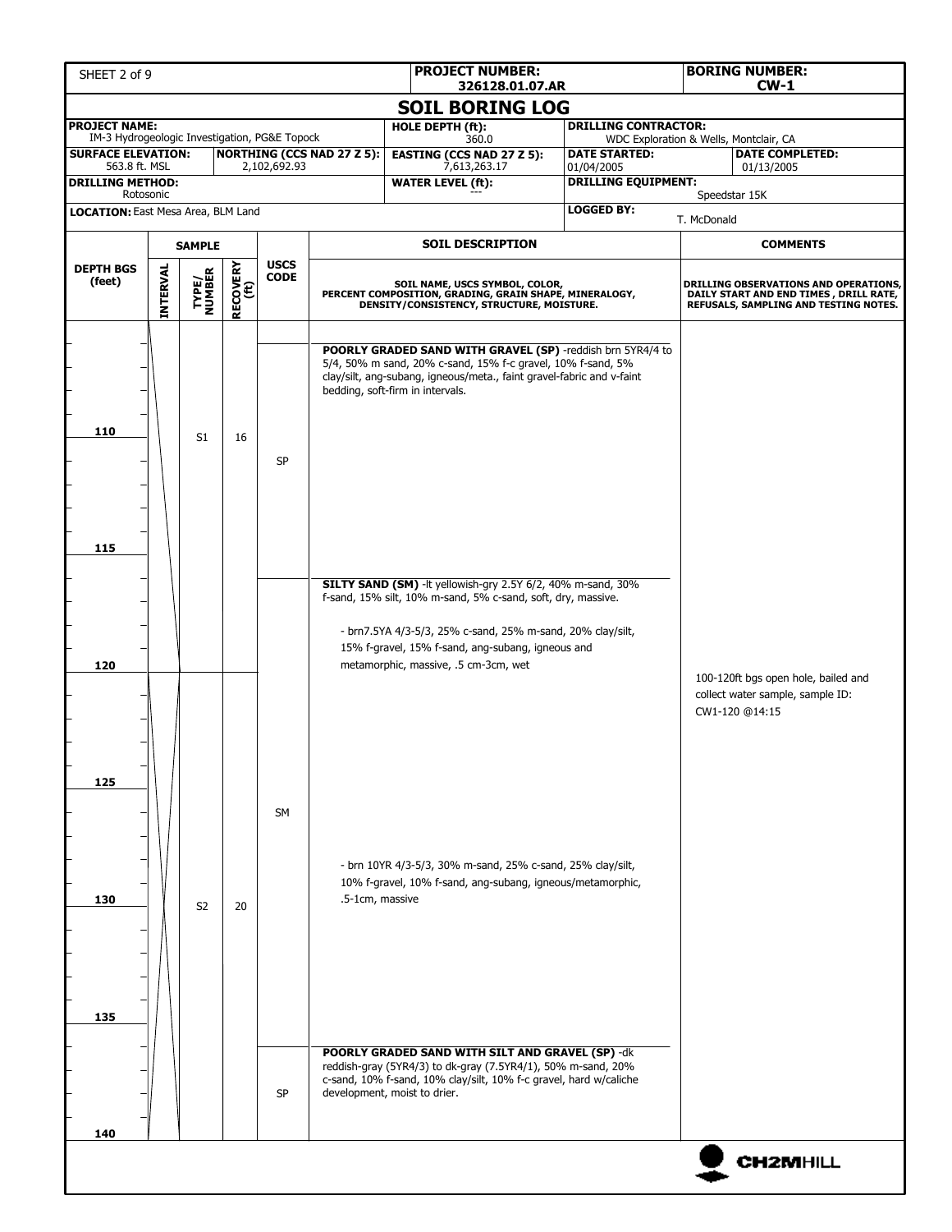| SHEET 2 of 9                                                          |                                                                                                                                                                                                                               |                |    |              |                                   | <b>PROJECT NUMBER:</b><br>326128.01.07.AR                                                                                                                                                                                              |  |                                                                       |             | <b>BORING NUMBER:</b><br><b>CW-1</b>                                                                                            |
|-----------------------------------------------------------------------|-------------------------------------------------------------------------------------------------------------------------------------------------------------------------------------------------------------------------------|----------------|----|--------------|-----------------------------------|----------------------------------------------------------------------------------------------------------------------------------------------------------------------------------------------------------------------------------------|--|-----------------------------------------------------------------------|-------------|---------------------------------------------------------------------------------------------------------------------------------|
|                                                                       |                                                                                                                                                                                                                               |                |    |              |                                   | <b>SOIL BORING LOG</b>                                                                                                                                                                                                                 |  |                                                                       |             |                                                                                                                                 |
| <b>PROJECT NAME:</b><br>IM-3 Hydrogeologic Investigation, PG&E Topock |                                                                                                                                                                                                                               |                |    |              |                                   | HOLE DEPTH (ft):<br>360.0                                                                                                                                                                                                              |  | <b>DRILLING CONTRACTOR:</b><br>WDC Exploration & Wells, Montclair, CA |             |                                                                                                                                 |
| <b>SURFACE ELEVATION:</b>                                             |                                                                                                                                                                                                                               |                |    |              | <b>NORTHING (CCS NAD 27 Z 5):</b> | <b>EASTING (CCS NAD 27 Z 5):</b>                                                                                                                                                                                                       |  | <b>DATE STARTED:</b>                                                  |             | <b>DATE COMPLETED:</b>                                                                                                          |
| 563.8 ft. MSL<br><b>DRILLING METHOD:</b>                              |                                                                                                                                                                                                                               |                |    | 2,102,692.93 |                                   | 7,613,263.17<br><b>WATER LEVEL (ft):</b>                                                                                                                                                                                               |  | 01/04/2005<br><b>DRILLING EQUIPMENT:</b>                              |             | 01/13/2005                                                                                                                      |
| Rotosonic<br>LOCATION: East Mesa Area, BLM Land                       |                                                                                                                                                                                                                               |                |    |              |                                   |                                                                                                                                                                                                                                        |  | <b>LOGGED BY:</b>                                                     |             | Speedstar 15K                                                                                                                   |
|                                                                       |                                                                                                                                                                                                                               |                |    |              |                                   |                                                                                                                                                                                                                                        |  |                                                                       | T. McDonald |                                                                                                                                 |
| <b>SAMPLE</b>                                                         |                                                                                                                                                                                                                               |                |    |              |                                   | <b>SOIL DESCRIPTION</b>                                                                                                                                                                                                                |  |                                                                       |             | <b>COMMENTS</b>                                                                                                                 |
| <b>DEPTH BGS</b><br>(feet)                                            | <b>USCS</b><br><b>RECOVERY</b><br>(ft)<br>INTERVAL<br>TYPE/<br>NUMBER<br><b>CODE</b><br>SOIL NAME, USCS SYMBOL, COLOR,<br>PERCENT COMPOSITION, GRADING, GRAIN SHAPE, MINERALOGY,<br>DENSITY/CONSISTENCY, STRUCTURE, MOISTURE. |                |    |              |                                   |                                                                                                                                                                                                                                        |  |                                                                       |             | <b>DRILLING OBSERVATIONS AND OPERATIONS,</b><br>DAILY START AND END TIMES, DRILL RATE,<br>REFUSALS, SAMPLING AND TESTING NOTES. |
| 110                                                                   |                                                                                                                                                                                                                               | S1             | 16 | SP           |                                   | POORLY GRADED SAND WITH GRAVEL (SP) -reddish brn 5YR4/4 to<br>5/4, 50% m sand, 20% c-sand, 15% f-c gravel, 10% f-sand, 5%<br>clay/silt, ang-subang, igneous/meta., faint gravel-fabric and v-faint<br>bedding, soft-firm in intervals. |  |                                                                       |             |                                                                                                                                 |
| 115                                                                   |                                                                                                                                                                                                                               |                |    |              |                                   | SILTY SAND (SM) - It yellowish-gry 2.5Y 6/2, 40% m-sand, 30%<br>f-sand, 15% silt, 10% m-sand, 5% c-sand, soft, dry, massive.                                                                                                           |  |                                                                       |             |                                                                                                                                 |
| 120                                                                   |                                                                                                                                                                                                                               |                |    |              |                                   | - brn7.5YA 4/3-5/3, 25% c-sand, 25% m-sand, 20% clay/silt,<br>15% f-gravel, 15% f-sand, ang-subang, igneous and<br>metamorphic, massive, .5 cm-3cm, wet                                                                                |  |                                                                       |             | 100-120ft bgs open hole, bailed and<br>collect water sample, sample ID:<br>CW1-120 @14:15                                       |
| 125                                                                   |                                                                                                                                                                                                                               |                |    | SM           |                                   |                                                                                                                                                                                                                                        |  |                                                                       |             |                                                                                                                                 |
| 130                                                                   |                                                                                                                                                                                                                               | S <sub>2</sub> | 20 |              | .5-1cm, massive                   | - brn 10YR 4/3-5/3, 30% m-sand, 25% c-sand, 25% clay/silt,<br>10% f-gravel, 10% f-sand, ang-subang, igneous/metamorphic,                                                                                                               |  |                                                                       |             |                                                                                                                                 |
| 135                                                                   |                                                                                                                                                                                                                               |                |    | <b>SP</b>    |                                   | <b>POORLY GRADED SAND WITH SILT AND GRAVEL (SP) -dk</b><br>reddish-gray (5YR4/3) to dk-gray (7.5YR4/1), 50% m-sand, 20%<br>c-sand, 10% f-sand, 10% clay/silt, 10% f-c gravel, hard w/caliche<br>development, moist to drier.           |  |                                                                       |             |                                                                                                                                 |
|                                                                       |                                                                                                                                                                                                                               |                |    |              |                                   |                                                                                                                                                                                                                                        |  |                                                                       |             |                                                                                                                                 |
| 140                                                                   |                                                                                                                                                                                                                               |                |    |              |                                   |                                                                                                                                                                                                                                        |  |                                                                       |             |                                                                                                                                 |
|                                                                       |                                                                                                                                                                                                                               |                |    |              |                                   |                                                                                                                                                                                                                                        |  |                                                                       |             | <b>CH2MHILL</b>                                                                                                                 |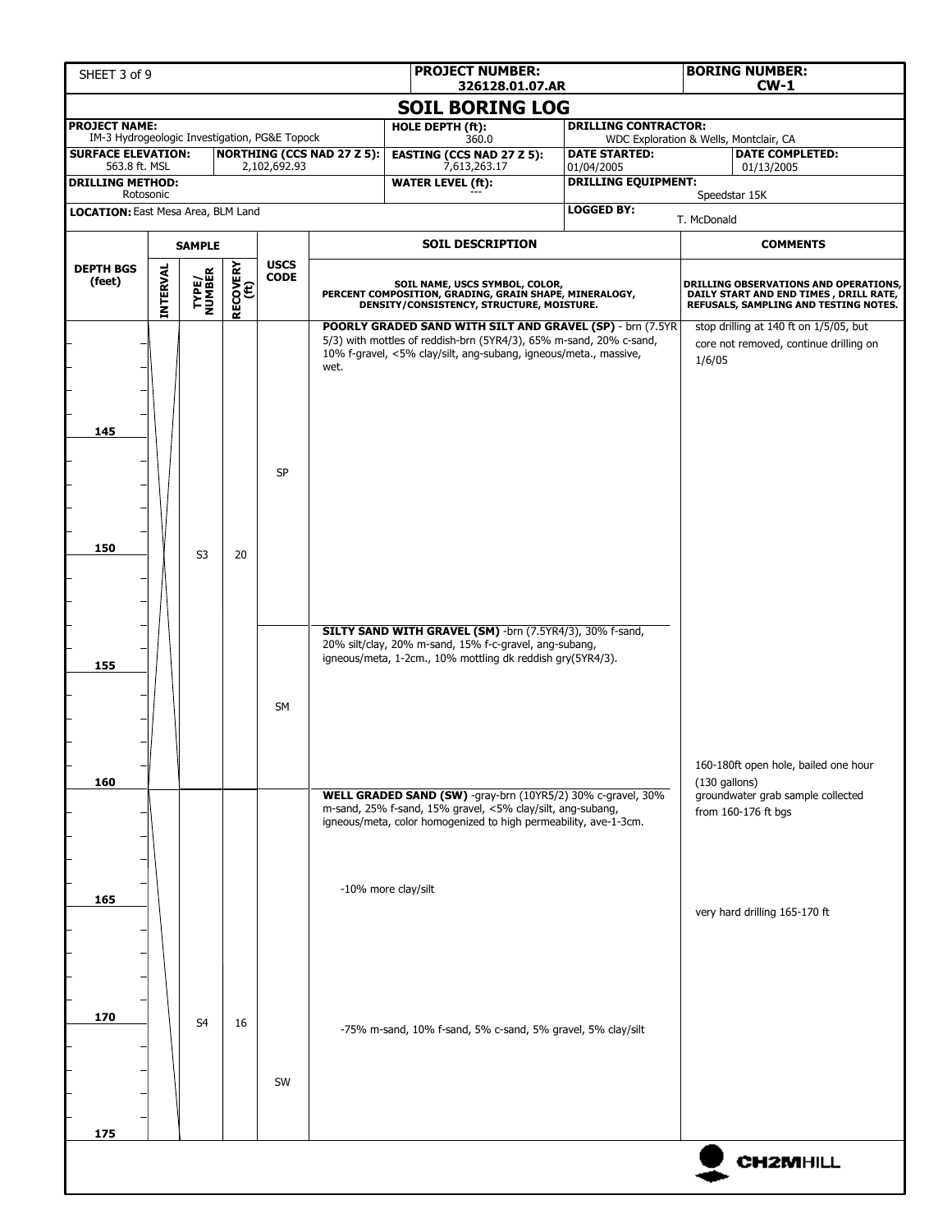| SHEET 3 of 9                                                          |                 |                 |                         |                            |                                   | <b>PROJECT NUMBER:</b><br>326128.01.07.AR                                                                                                                                                           |                                          |                                                                  | <b>BORING NUMBER:</b><br>$CW-1$                                                                                                 |  |
|-----------------------------------------------------------------------|-----------------|-----------------|-------------------------|----------------------------|-----------------------------------|-----------------------------------------------------------------------------------------------------------------------------------------------------------------------------------------------------|------------------------------------------|------------------------------------------------------------------|---------------------------------------------------------------------------------------------------------------------------------|--|
|                                                                       |                 |                 |                         |                            |                                   | <b>SOIL BORING LOG</b>                                                                                                                                                                              |                                          |                                                                  |                                                                                                                                 |  |
| <b>PROJECT NAME:</b><br>IM-3 Hydrogeologic Investigation, PG&E Topock |                 |                 |                         |                            |                                   | HOLE DEPTH (ft):                                                                                                                                                                                    | <b>DRILLING CONTRACTOR:</b>              |                                                                  |                                                                                                                                 |  |
| <b>SURFACE ELEVATION:</b>                                             |                 |                 |                         |                            | <b>NORTHING (CCS NAD 27 Z 5):</b> | 360.0<br><b>EASTING (CCS NAD 27 Z 5):</b>                                                                                                                                                           | <b>DATE STARTED:</b>                     | WDC Exploration & Wells, Montclair, CA<br><b>DATE COMPLETED:</b> |                                                                                                                                 |  |
| 563.8 ft. MSL<br><b>DRILLING METHOD:</b>                              |                 |                 |                         | 2,102,692.93               |                                   | 7,613,263.17<br><b>WATER LEVEL (ft):</b>                                                                                                                                                            | 01/04/2005<br><b>DRILLING EQUIPMENT:</b> |                                                                  | 01/13/2005                                                                                                                      |  |
| Rotosonic                                                             |                 |                 |                         |                            |                                   |                                                                                                                                                                                                     |                                          |                                                                  | Speedstar 15K                                                                                                                   |  |
| LOCATION: East Mesa Area, BLM Land                                    |                 |                 |                         |                            |                                   |                                                                                                                                                                                                     | <b>LOGGED BY:</b>                        | T. McDonald                                                      |                                                                                                                                 |  |
|                                                                       | <b>SAMPLE</b>   |                 |                         |                            |                                   | <b>SOIL DESCRIPTION</b>                                                                                                                                                                             |                                          |                                                                  | <b>COMMENTS</b>                                                                                                                 |  |
| <b>DEPTH BGS</b><br>(feet)                                            | <b>INTERVAL</b> | TYPE/<br>NUMBER | <b>RECOVERY</b><br>(ft) | <b>USCS</b><br><b>CODE</b> |                                   | SOIL NAME, USCS SYMBOL, COLOR,<br>PERCENT COMPOSITION, GRADING, GRAIN SHAPE, MINERALOGY,<br>DENSITY/CONSISTENCY, STRUCTURE, MOISTURE.                                                               |                                          |                                                                  | <b>DRILLING OBSERVATIONS AND OPERATIONS,</b><br>DAILY START AND END TIMES, DRILL RATE,<br>REFUSALS, SAMPLING AND TESTING NOTES. |  |
| 145                                                                   |                 |                 |                         | <b>SP</b>                  | wet.                              | POORLY GRADED SAND WITH SILT AND GRAVEL (SP) - brn (7.5YR<br>5/3) with mottles of reddish-brn (5YR4/3), 65% m-sand, 20% c-sand,<br>10% f-gravel, <5% clay/silt, ang-subang, igneous/meta., massive, |                                          | 1/6/05                                                           | stop drilling at 140 ft on 1/5/05, but<br>core not removed, continue drilling on                                                |  |
| 150                                                                   |                 | S <sub>3</sub>  | 20                      |                            |                                   |                                                                                                                                                                                                     |                                          |                                                                  |                                                                                                                                 |  |
| 155                                                                   |                 |                 |                         | <b>SM</b>                  |                                   | SILTY SAND WITH GRAVEL (SM) -brn (7.5YR4/3), 30% f-sand,<br>20% silt/clay, 20% m-sand, 15% f-c-gravel, ang-subang,<br>igneous/meta, 1-2cm., 10% mottling dk reddish gry(5YR4/3).                    |                                          |                                                                  |                                                                                                                                 |  |
|                                                                       |                 |                 |                         |                            |                                   |                                                                                                                                                                                                     |                                          |                                                                  | 160-180ft open hole, bailed one hour                                                                                            |  |
| 160                                                                   |                 |                 |                         |                            |                                   | WELL GRADED SAND (SW) -gray-brn (10YR5/2) 30% c-gravel, 30%<br>m-sand, 25% f-sand, 15% gravel, <5% clay/silt, ang-subang,<br>igneous/meta, color homogenized to high permeability, ave-1-3cm.       |                                          | $(130$ gallons)                                                  | groundwater grab sample collected<br>from 160-176 ft bgs                                                                        |  |
|                                                                       |                 |                 |                         |                            |                                   | -10% more clay/silt                                                                                                                                                                                 |                                          |                                                                  |                                                                                                                                 |  |
| 165                                                                   |                 |                 |                         |                            |                                   |                                                                                                                                                                                                     |                                          |                                                                  | very hard drilling 165-170 ft                                                                                                   |  |
| 170                                                                   |                 | S <sub>4</sub>  | 16                      | SW                         |                                   | -75% m-sand, 10% f-sand, 5% c-sand, 5% gravel, 5% clay/silt                                                                                                                                         |                                          |                                                                  |                                                                                                                                 |  |
| 175                                                                   |                 |                 |                         |                            |                                   |                                                                                                                                                                                                     |                                          |                                                                  |                                                                                                                                 |  |
|                                                                       |                 |                 |                         |                            |                                   |                                                                                                                                                                                                     |                                          |                                                                  | <b>CH2MHILL</b>                                                                                                                 |  |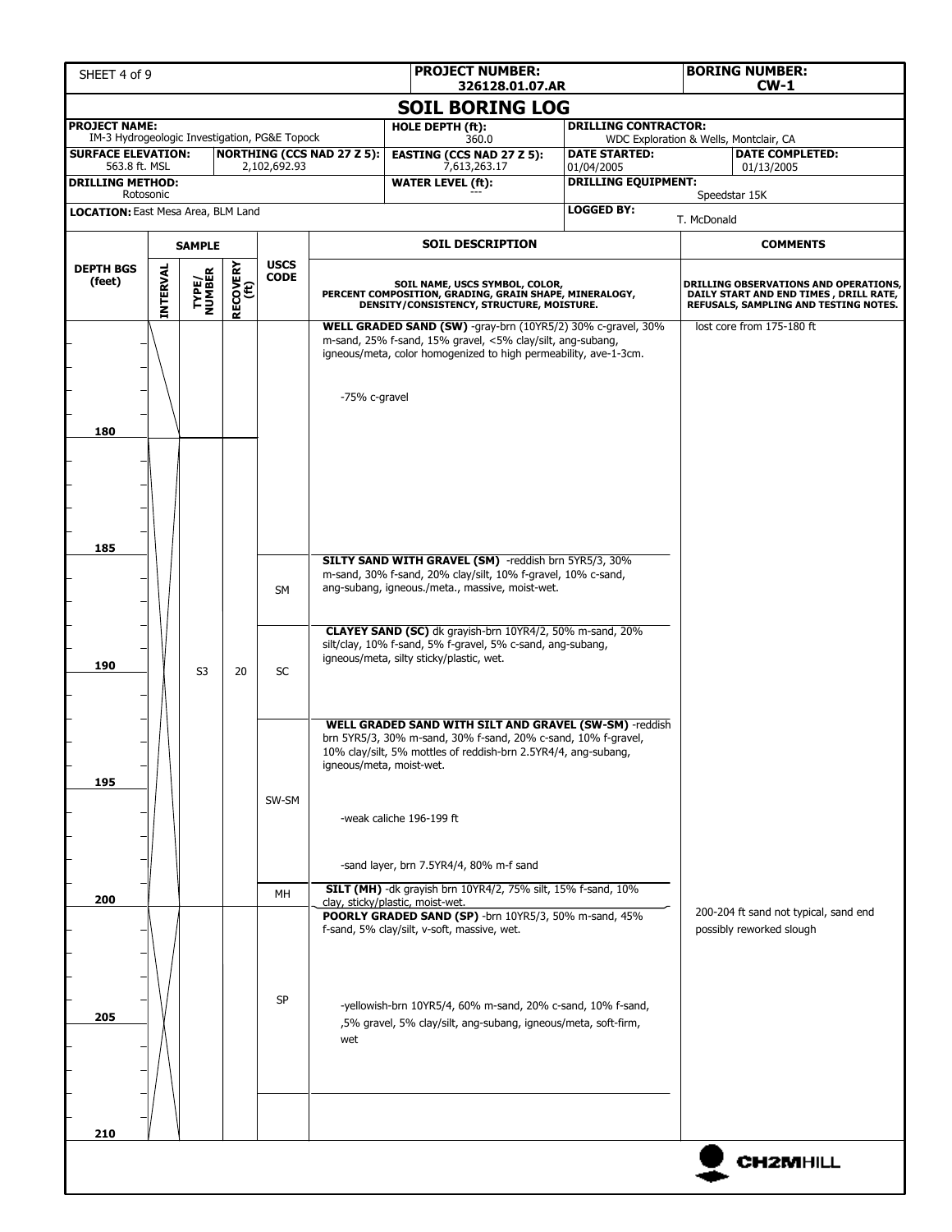| SHEET 4 of 9                                                          |                 |                         |                         |                            |                                   | <b>PROJECT NUMBER:</b>                                                                                                                                                                                                                                                                                                                        | 326128.01.07.AR |                                                                       |             | <b>BORING NUMBER:</b><br>$CW-1$                                                                                                  |  |  |
|-----------------------------------------------------------------------|-----------------|-------------------------|-------------------------|----------------------------|-----------------------------------|-----------------------------------------------------------------------------------------------------------------------------------------------------------------------------------------------------------------------------------------------------------------------------------------------------------------------------------------------|-----------------|-----------------------------------------------------------------------|-------------|----------------------------------------------------------------------------------------------------------------------------------|--|--|
|                                                                       |                 |                         |                         |                            |                                   | <b>SOIL BORING LOG</b>                                                                                                                                                                                                                                                                                                                        |                 |                                                                       |             |                                                                                                                                  |  |  |
| <b>PROJECT NAME:</b><br>IM-3 Hydrogeologic Investigation, PG&E Topock |                 |                         |                         |                            |                                   | HOLE DEPTH (ft):<br>360.0                                                                                                                                                                                                                                                                                                                     |                 | <b>DRILLING CONTRACTOR:</b><br>WDC Exploration & Wells, Montclair, CA |             |                                                                                                                                  |  |  |
| <b>SURFACE ELEVATION:</b>                                             |                 |                         |                         |                            | <b>NORTHING (CCS NAD 27 Z 5):</b> | <b>EASTING (CCS NAD 27 Z 5):</b>                                                                                                                                                                                                                                                                                                              |                 | <b>DATE STARTED:</b>                                                  |             | <b>DATE COMPLETED:</b>                                                                                                           |  |  |
| 563.8 ft. MSL<br><b>DRILLING METHOD:</b>                              |                 |                         |                         | 2,102,692.93               |                                   | 7,613,263.17<br><b>WATER LEVEL (ft):</b>                                                                                                                                                                                                                                                                                                      |                 | 01/04/2005<br><b>DRILLING EQUIPMENT:</b>                              | 01/13/2005  |                                                                                                                                  |  |  |
| Rotosonic<br>LOCATION: East Mesa Area, BLM Land                       |                 |                         |                         |                            |                                   |                                                                                                                                                                                                                                                                                                                                               |                 | <b>LOGGED BY:</b>                                                     |             | Speedstar 15K                                                                                                                    |  |  |
|                                                                       |                 |                         |                         |                            |                                   |                                                                                                                                                                                                                                                                                                                                               |                 |                                                                       | T. McDonald |                                                                                                                                  |  |  |
|                                                                       | <b>SAMPLE</b>   |                         |                         |                            |                                   | <b>SOIL DESCRIPTION</b>                                                                                                                                                                                                                                                                                                                       |                 |                                                                       |             | <b>COMMENTS</b>                                                                                                                  |  |  |
| <b>DEPTH BGS</b><br>(feet)                                            | <b>INTERVAL</b> | <b>TYPE/<br/>NUMBER</b> | <b>RECOVERY</b><br>(ft) | <b>USCS</b><br><b>CODE</b> |                                   | SOIL NAME, USCS SYMBOL, COLOR,<br>PERCENT COMPOSITION, GRADING, GRAIN SHAPE, MINERALOGY,<br>DENSITY/CONSISTENCY, STRUCTURE, MOISTURE.                                                                                                                                                                                                         |                 |                                                                       |             | <b>DRILLING OBSERVATIONS AND OPERATIONS,</b><br>DAILY START AND END TIMES , DRILL RATE,<br>REFUSALS, SAMPLING AND TESTING NOTES. |  |  |
| 180                                                                   |                 |                         |                         |                            | -75% c-gravel                     | WELL GRADED SAND (SW) -gray-brn (10YR5/2) 30% c-gravel, 30%<br>m-sand, 25% f-sand, 15% gravel, <5% clay/silt, ang-subang,<br>igneous/meta, color homogenized to high permeability, ave-1-3cm.                                                                                                                                                 |                 |                                                                       |             | lost core from 175-180 ft                                                                                                        |  |  |
| 185                                                                   |                 |                         |                         | <b>SM</b>                  |                                   | SILTY SAND WITH GRAVEL (SM) -reddish brn 5YR5/3, 30%<br>m-sand, 30% f-sand, 20% clay/silt, 10% f-gravel, 10% c-sand,<br>ang-subang, igneous./meta., massive, moist-wet.<br>CLAYEY SAND (SC) dk grayish-brn 10YR4/2, 50% m-sand, 20%<br>silt/clay, 10% f-sand, 5% f-gravel, 5% c-sand, ang-subang,<br>igneous/meta, silty sticky/plastic, wet. |                 |                                                                       |             |                                                                                                                                  |  |  |
| 190<br>195                                                            |                 | S <sub>3</sub>          | 20                      | SC<br>SW-SM                |                                   | WELL GRADED SAND WITH SILT AND GRAVEL (SW-SM) -reddish<br>brn 5YR5/3, 30% m-sand, 30% f-sand, 20% c-sand, 10% f-gravel,<br>10% clay/silt, 5% mottles of reddish-brn 2.5YR4/4, ang-subang,<br>igneous/meta, moist-wet.<br>-weak caliche 196-199 ft                                                                                             |                 |                                                                       |             |                                                                                                                                  |  |  |
| 200                                                                   |                 |                         |                         | MH                         |                                   | -sand layer, brn 7.5YR4/4, 80% m-f sand<br><b>SILT (MH)</b> -dk grayish brn 10YR4/2, 75% silt, 15% f-sand, 10%<br>clay, sticky/plastic, moist-wet.<br>POORLY GRADED SAND (SP) -brn 10YR5/3, 50% m-sand, 45%                                                                                                                                   |                 |                                                                       |             | 200-204 ft sand not typical, sand end                                                                                            |  |  |
| 205                                                                   |                 |                         |                         | SP                         | wet                               | f-sand, 5% clay/silt, v-soft, massive, wet.<br>-yellowish-brn 10YR5/4, 60% m-sand, 20% c-sand, 10% f-sand,<br>,5% gravel, 5% clay/silt, ang-subang, igneous/meta, soft-firm,                                                                                                                                                                  |                 |                                                                       |             | possibly reworked slough                                                                                                         |  |  |
| 210                                                                   |                 |                         |                         |                            |                                   |                                                                                                                                                                                                                                                                                                                                               |                 |                                                                       |             |                                                                                                                                  |  |  |
|                                                                       |                 |                         |                         |                            |                                   |                                                                                                                                                                                                                                                                                                                                               |                 |                                                                       |             | <b>CH2MHILL</b>                                                                                                                  |  |  |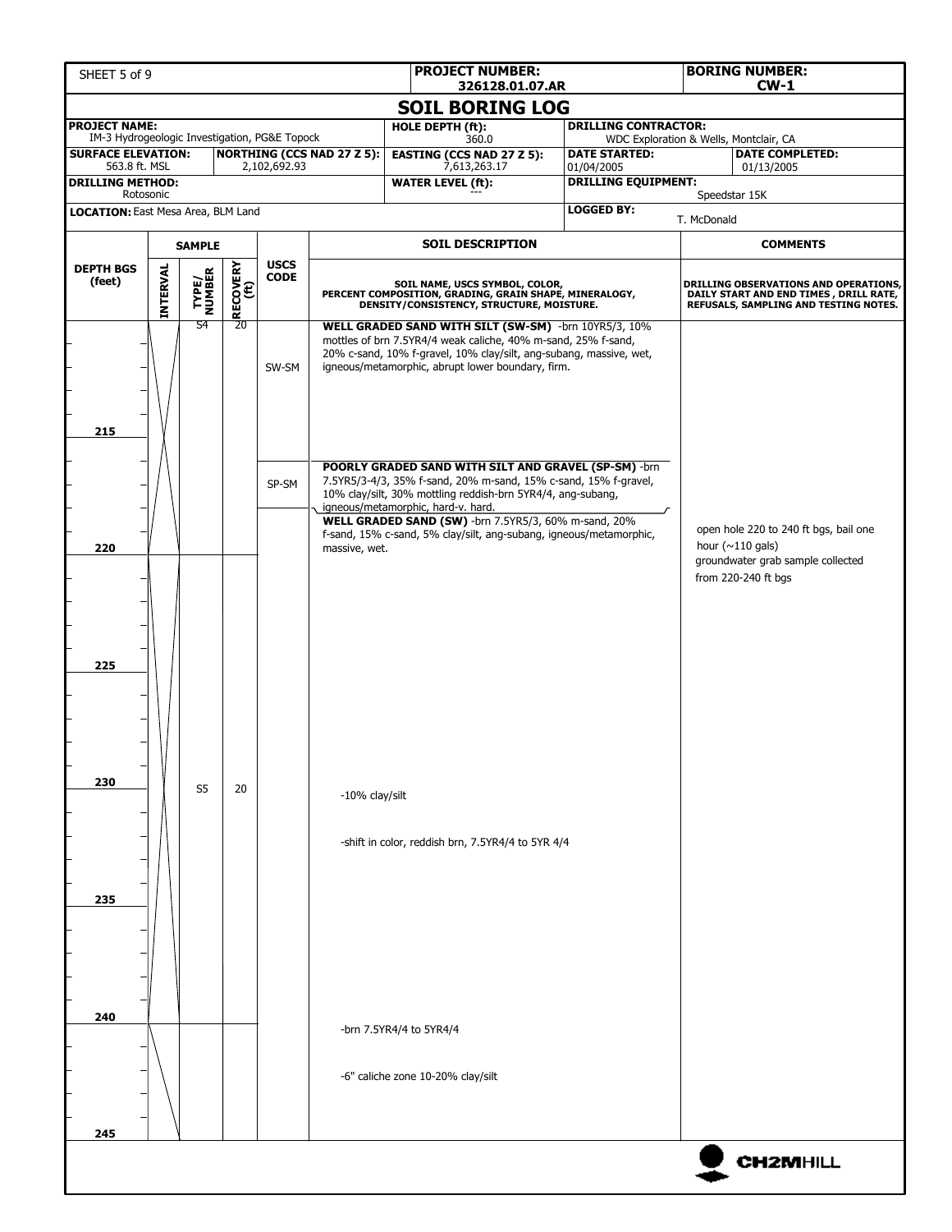| SHEET 5 of 9                                                               |          |                         |                  |                            |                                   | <b>PROJECT NUMBER:</b><br>326128.01.07.AR                                                                                                                                                                                                                                                                                                                  |                                                                | <b>BORING NUMBER:</b><br>$CW-1$                                                                                           |                                       |  |  |
|----------------------------------------------------------------------------|----------|-------------------------|------------------|----------------------------|-----------------------------------|------------------------------------------------------------------------------------------------------------------------------------------------------------------------------------------------------------------------------------------------------------------------------------------------------------------------------------------------------------|----------------------------------------------------------------|---------------------------------------------------------------------------------------------------------------------------|---------------------------------------|--|--|
|                                                                            |          |                         |                  |                            |                                   | <b>SOIL BORING LOG</b>                                                                                                                                                                                                                                                                                                                                     |                                                                |                                                                                                                           |                                       |  |  |
| <b>PROJECT NAME:</b>                                                       |          |                         |                  |                            |                                   | HOLE DEPTH (ft):                                                                                                                                                                                                                                                                                                                                           | <b>DRILLING CONTRACTOR:</b>                                    |                                                                                                                           |                                       |  |  |
| IM-3 Hydrogeologic Investigation, PG&E Topock<br><b>SURFACE ELEVATION:</b> |          |                         |                  |                            | <b>NORTHING (CCS NAD 27 Z 5):</b> | 360.0<br><b>EASTING (CCS NAD 27 Z 5):</b>                                                                                                                                                                                                                                                                                                                  | WDC Exploration & Wells, Montclair, CA<br><b>DATE STARTED:</b> |                                                                                                                           | <b>DATE COMPLETED:</b>                |  |  |
| 563.8 ft. MSL<br><b>DRILLING METHOD:</b>                                   |          |                         |                  | 2,102,692.93               |                                   | 7,613,263.17<br><b>WATER LEVEL (ft):</b>                                                                                                                                                                                                                                                                                                                   | 01/04/2005<br><b>DRILLING EQUIPMENT:</b>                       |                                                                                                                           | 01/13/2005                            |  |  |
| Rotosonic                                                                  |          |                         |                  |                            |                                   |                                                                                                                                                                                                                                                                                                                                                            |                                                                |                                                                                                                           | Speedstar 15K                         |  |  |
| LOCATION: East Mesa Area, BLM Land                                         |          |                         |                  |                            |                                   |                                                                                                                                                                                                                                                                                                                                                            | <b>LOGGED BY:</b>                                              | T. McDonald                                                                                                               |                                       |  |  |
|                                                                            |          | <b>SAMPLE</b>           |                  |                            |                                   | <b>SOIL DESCRIPTION</b>                                                                                                                                                                                                                                                                                                                                    |                                                                |                                                                                                                           | <b>COMMENTS</b>                       |  |  |
| <b>DEPTH BGS</b><br>(feet)                                                 | INTERVAL | <b>TYPE/<br/>NUMBER</b> | RECOVERY<br>(ft) | <b>USCS</b><br><b>CODE</b> |                                   | SOIL NAME, USCS SYMBOL, COLOR,<br>PERCENT COMPOSITION, GRADING, GRAIN SHAPE, MINERALOGY,<br>DENSITY/CONSISTENCY, STRUCTURE, MOISTURE.                                                                                                                                                                                                                      |                                                                | DRILLING OBSERVATIONS AND OPERATIONS,<br>DAILY START AND END TIMES , DRILL RATE,<br>REFUSALS, SAMPLING AND TESTING NOTES. |                                       |  |  |
| 215                                                                        |          | S4                      | 20               | SW-SM                      |                                   | WELL GRADED SAND WITH SILT (SW-SM) -brn 10YR5/3, 10%<br>mottles of brn 7.5YR4/4 weak caliche, 40% m-sand, 25% f-sand,<br>20% c-sand, 10% f-gravel, 10% clay/silt, ang-subang, massive, wet,<br>igneous/metamorphic, abrupt lower boundary, firm.                                                                                                           |                                                                |                                                                                                                           |                                       |  |  |
|                                                                            |          |                         |                  | SP-SM                      |                                   | POORLY GRADED SAND WITH SILT AND GRAVEL (SP-SM) -brn<br>7.5YR5/3-4/3, 35% f-sand, 20% m-sand, 15% c-sand, 15% f-gravel,<br>10% clay/silt, 30% mottling reddish-brn 5YR4/4, ang-subang,<br>igneous/metamorphic, hard-v. hard.<br>WELL GRADED SAND (SW) -brn 7.5YR5/3, 60% m-sand, 20%<br>f-sand, 15% c-sand, 5% clay/silt, ang-subang, igneous/metamorphic, |                                                                |                                                                                                                           | open hole 220 to 240 ft bgs, bail one |  |  |
| 220<br>225                                                                 |          |                         |                  |                            | massive, wet.                     |                                                                                                                                                                                                                                                                                                                                                            |                                                                | hour ( $\sim$ 110 gals)<br>groundwater grab sample collected<br>from 220-240 ft bgs                                       |                                       |  |  |
| 230                                                                        |          | S <sub>5</sub>          | 20               |                            | -10% clay/silt                    | -shift in color, reddish brn, 7.5YR4/4 to 5YR 4/4                                                                                                                                                                                                                                                                                                          |                                                                |                                                                                                                           |                                       |  |  |
| 235                                                                        |          |                         |                  |                            |                                   |                                                                                                                                                                                                                                                                                                                                                            |                                                                |                                                                                                                           |                                       |  |  |
| 240<br>245                                                                 |          |                         |                  |                            |                                   | -brn 7.5YR4/4 to 5YR4/4<br>-6" caliche zone 10-20% clay/silt                                                                                                                                                                                                                                                                                               |                                                                |                                                                                                                           |                                       |  |  |
|                                                                            |          |                         |                  |                            |                                   |                                                                                                                                                                                                                                                                                                                                                            |                                                                |                                                                                                                           | <b>CH2MHILL</b>                       |  |  |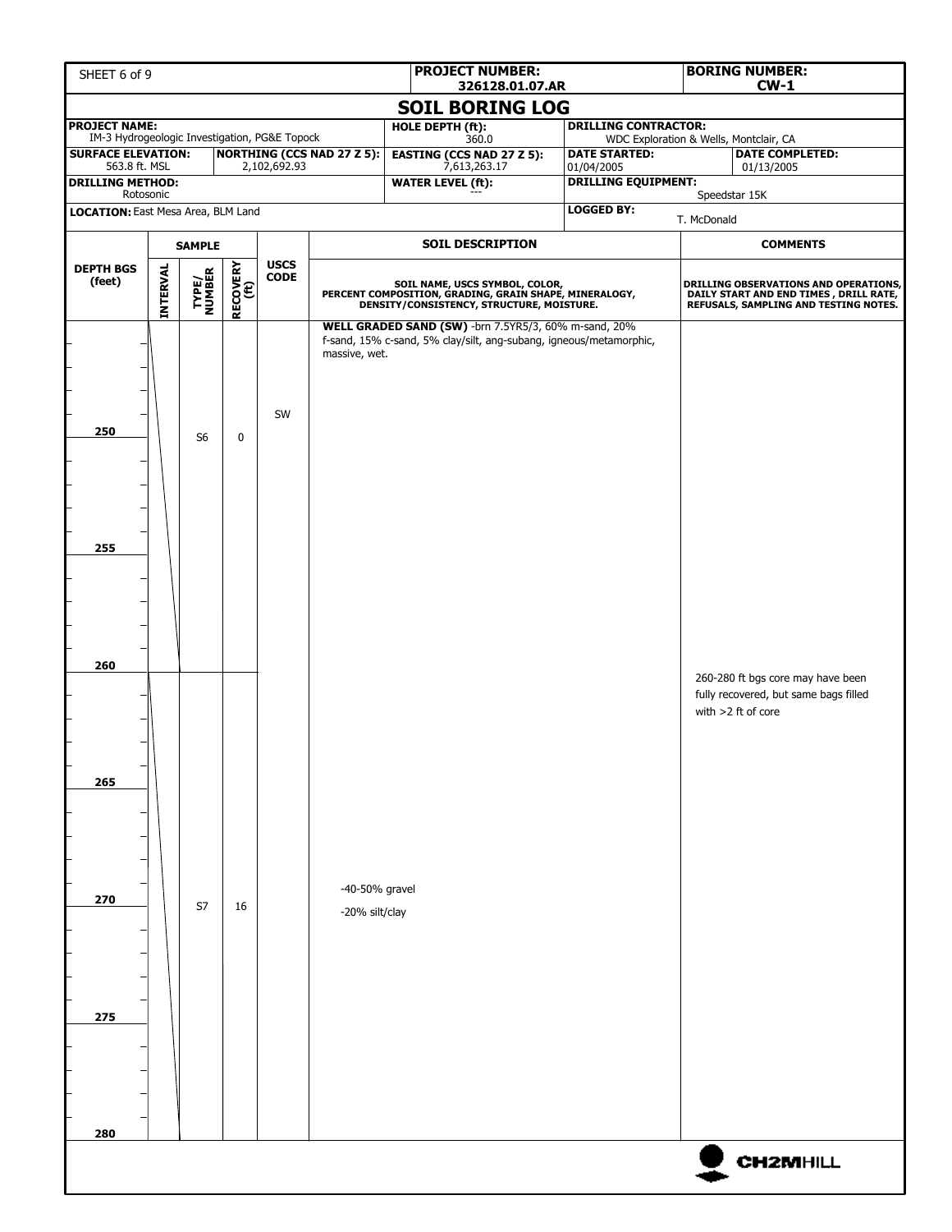| SHEET 6 of 9                                                                                               |  |                |             |              |                                   | <b>PROJECT NUMBER:</b><br>326128.01.07.AR                                                                                             |                                          |             | <b>BORING NUMBER:</b><br>$CW-1$                                                                                          |
|------------------------------------------------------------------------------------------------------------|--|----------------|-------------|--------------|-----------------------------------|---------------------------------------------------------------------------------------------------------------------------------------|------------------------------------------|-------------|--------------------------------------------------------------------------------------------------------------------------|
|                                                                                                            |  |                |             |              |                                   | <b>SOIL BORING LOG</b>                                                                                                                |                                          |             |                                                                                                                          |
| <b>PROJECT NAME:</b><br>IM-3 Hydrogeologic Investigation, PG&E Topock                                      |  |                |             |              |                                   | <b>HOLE DEPTH (ft):</b>                                                                                                               | <b>DRILLING CONTRACTOR:</b>              |             |                                                                                                                          |
| <b>SURFACE ELEVATION:</b>                                                                                  |  |                |             |              | <b>NORTHING (CCS NAD 27 Z 5):</b> | 360.0<br><b>EASTING (CCS NAD 27 Z 5):</b>                                                                                             | <b>DATE STARTED:</b>                     |             | WDC Exploration & Wells, Montclair, CA<br><b>DATE COMPLETED:</b>                                                         |
| 563.8 ft. MSL<br><b>DRILLING METHOD:</b>                                                                   |  |                |             | 2,102,692.93 |                                   | 7,613,263.17<br><b>WATER LEVEL (ft):</b>                                                                                              | 01/04/2005<br><b>DRILLING EQUIPMENT:</b> |             | 01/13/2005                                                                                                               |
| Rotosonic<br>LOCATION: East Mesa Area, BLM Land                                                            |  |                |             |              |                                   |                                                                                                                                       | <b>LOGGED BY:</b>                        |             | Speedstar 15K                                                                                                            |
|                                                                                                            |  |                |             |              |                                   |                                                                                                                                       |                                          | T. McDonald |                                                                                                                          |
| <b>SAMPLE</b><br><b>USCS</b>                                                                               |  |                |             |              |                                   | <b>SOIL DESCRIPTION</b>                                                                                                               |                                          |             | <b>COMMENTS</b>                                                                                                          |
| <b>RECOVERY</b><br>(ft)<br><b>INTERVAL</b><br><b>DEPTH BGS</b><br>TYPE/<br>NUMBER<br><b>CODE</b><br>(feet) |  |                |             |              |                                   | SOIL NAME, USCS SYMBOL, COLOR,<br>PERCENT COMPOSITION, GRADING, GRAIN SHAPE, MINERALOGY,<br>DENSITY/CONSISTENCY, STRUCTURE, MOISTURE. |                                          |             | DRILLING OBSERVATIONS AND OPERATIONS,<br>DAILY START AND END TIMES, DRILL RATE,<br>REFUSALS, SAMPLING AND TESTING NOTES. |
| 250<br>255                                                                                                 |  | S <sub>6</sub> | $\mathbf 0$ | SW           | massive, wet.                     | WELL GRADED SAND (SW) -brn 7.5YR5/3, 60% m-sand, 20%<br>f-sand, 15% c-sand, 5% clay/silt, ang-subang, igneous/metamorphic,            |                                          |             |                                                                                                                          |
| 260<br>265<br>270                                                                                          |  | S7             | 16          |              | -40-50% gravel<br>-20% silt/clay  |                                                                                                                                       |                                          |             | 260-280 ft bgs core may have been<br>fully recovered, but same bags filled<br>with $>2$ ft of core                       |
| 275<br>280                                                                                                 |  |                |             |              |                                   |                                                                                                                                       |                                          |             |                                                                                                                          |
|                                                                                                            |  |                |             |              |                                   |                                                                                                                                       |                                          |             | <b>CH2MHILL</b>                                                                                                          |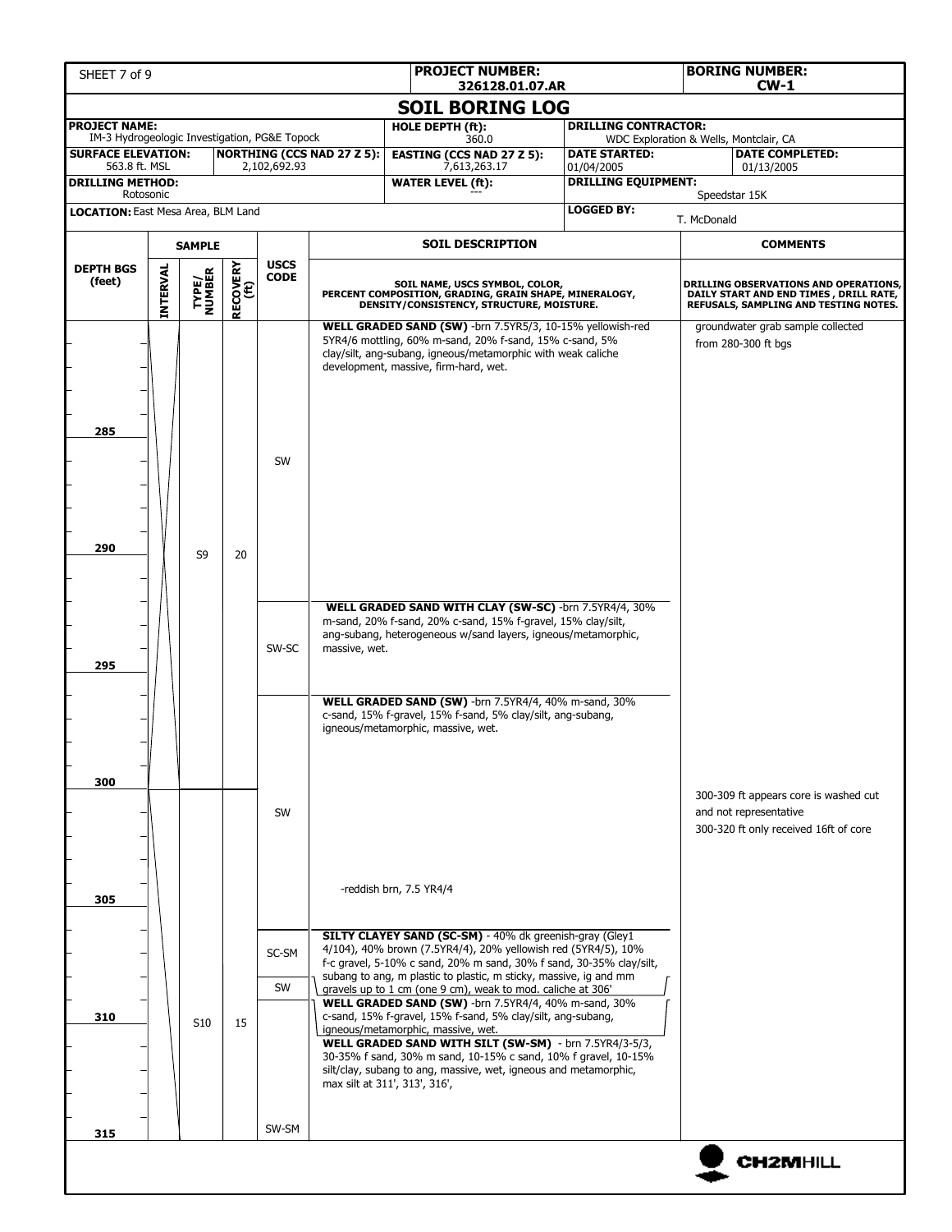| SHEET 7 of 9                                                          |                                                                                                     |                 |    |                         |                                   | <b>PROJECT NUMBER:</b><br>326128.01.07.AR                                                                                                                                                                                                                                                                                                                                                  |                                                                |             | <b>BORING NUMBER:</b><br>$CW-1$                                                                                          |  |
|-----------------------------------------------------------------------|-----------------------------------------------------------------------------------------------------|-----------------|----|-------------------------|-----------------------------------|--------------------------------------------------------------------------------------------------------------------------------------------------------------------------------------------------------------------------------------------------------------------------------------------------------------------------------------------------------------------------------------------|----------------------------------------------------------------|-------------|--------------------------------------------------------------------------------------------------------------------------|--|
|                                                                       |                                                                                                     |                 |    |                         |                                   | <b>SOIL BORING LOG</b>                                                                                                                                                                                                                                                                                                                                                                     |                                                                |             |                                                                                                                          |  |
| <b>PROJECT NAME:</b><br>IM-3 Hydrogeologic Investigation, PG&E Topock |                                                                                                     |                 |    |                         |                                   | HOLE DEPTH (ft):                                                                                                                                                                                                                                                                                                                                                                           | <b>DRILLING CONTRACTOR:</b>                                    |             |                                                                                                                          |  |
| <b>SURFACE ELEVATION:</b>                                             |                                                                                                     |                 |    |                         | <b>NORTHING (CCS NAD 27 Z 5):</b> | 360.0<br><b>EASTING (CCS NAD 27 Z 5):</b>                                                                                                                                                                                                                                                                                                                                                  | WDC Exploration & Wells, Montclair, CA<br><b>DATE STARTED:</b> |             | <b>DATE COMPLETED:</b>                                                                                                   |  |
| 563.8 ft. MSL<br><b>DRILLING METHOD:</b>                              |                                                                                                     |                 |    | 2,102,692.93            |                                   | 7,613,263.17<br><b>WATER LEVEL (ft):</b>                                                                                                                                                                                                                                                                                                                                                   | 01/04/2005<br><b>DRILLING EQUIPMENT:</b>                       |             | 01/13/2005                                                                                                               |  |
| Rotosonic                                                             |                                                                                                     |                 |    |                         |                                   |                                                                                                                                                                                                                                                                                                                                                                                            |                                                                |             | Speedstar 15K                                                                                                            |  |
| <b>LOCATION:</b> East Mesa Area, BLM Land                             |                                                                                                     |                 |    |                         |                                   |                                                                                                                                                                                                                                                                                                                                                                                            | <b>LOGGED BY:</b>                                              | T. McDonald |                                                                                                                          |  |
| <b>SAMPLE</b>                                                         |                                                                                                     |                 |    | <b>SOIL DESCRIPTION</b> |                                   |                                                                                                                                                                                                                                                                                                                                                                                            | <b>COMMENTS</b>                                                |             |                                                                                                                          |  |
| <b>DEPTH BGS</b><br>(feet)                                            | <b>USCS</b><br><b>RECOVERY</b><br>(ft)<br><b>INTERVAL</b><br><b>TYPE/<br/>NUMBER</b><br><b>CODE</b> |                 |    |                         |                                   | SOIL NAME, USCS SYMBOL, COLOR,<br>PERCENT COMPOSITION, GRADING, GRAIN SHAPE, MINERALOGY,<br>DENSITY/CONSISTENCY, STRUCTURE, MOISTURE.                                                                                                                                                                                                                                                      |                                                                |             | DRILLING OBSERVATIONS AND OPERATIONS,<br>DAILY START AND END TIMES, DRILL RATE,<br>REFUSALS, SAMPLING AND TESTING NOTES. |  |
| 285                                                                   |                                                                                                     |                 |    | SW                      |                                   | WELL GRADED SAND (SW) -brn 7.5YR5/3, 10-15% yellowish-red<br>5YR4/6 mottling, 60% m-sand, 20% f-sand, 15% c-sand, 5%<br>clay/silt, ang-subang, igneous/metamorphic with weak caliche<br>development, massive, firm-hard, wet.                                                                                                                                                              |                                                                |             | groundwater grab sample collected<br>from $280-300$ ft bgs                                                               |  |
| 290                                                                   |                                                                                                     | S <sub>9</sub>  | 20 |                         |                                   |                                                                                                                                                                                                                                                                                                                                                                                            |                                                                |             |                                                                                                                          |  |
| 295                                                                   |                                                                                                     |                 |    | SW-SC                   | massive, wet.                     | WELL GRADED SAND WITH CLAY (SW-SC) -brn 7.5YR4/4, 30%<br>m-sand, 20% f-sand, 20% c-sand, 15% f-gravel, 15% clay/silt,<br>ang-subang, heterogeneous w/sand layers, igneous/metamorphic,                                                                                                                                                                                                     |                                                                |             |                                                                                                                          |  |
| 300                                                                   |                                                                                                     |                 |    |                         |                                   | WELL GRADED SAND (SW) -brn 7.5YR4/4, 40% m-sand, 30%<br>c-sand, 15% f-gravel, 15% f-sand, 5% clay/silt, ang-subang,<br>igneous/metamorphic, massive, wet.                                                                                                                                                                                                                                  |                                                                |             | 300-309 ft appears core is washed cut                                                                                    |  |
| 305                                                                   |                                                                                                     |                 |    | SW                      |                                   | -reddish brn, 7.5 YR4/4                                                                                                                                                                                                                                                                                                                                                                    |                                                                |             | and not representative<br>300-320 ft only received 16ft of core                                                          |  |
|                                                                       |                                                                                                     |                 |    | SC-SM                   |                                   | <b>SILTY CLAYEY SAND (SC-SM)</b> - 40% dk greenish-gray (Gley1<br>4/104), 40% brown (7.5YR4/4), 20% yellowish red (5YR4/5), 10%<br>f-c gravel, 5-10% c sand, 20% m sand, 30% f sand, 30-35% clay/silt,                                                                                                                                                                                     |                                                                |             |                                                                                                                          |  |
|                                                                       |                                                                                                     |                 |    | SW                      |                                   | subang to ang, m plastic to plastic, m sticky, massive, ig and mm<br>gravels up to 1 cm (one 9 cm), weak to mod. caliche at 306'                                                                                                                                                                                                                                                           |                                                                |             |                                                                                                                          |  |
| 310                                                                   |                                                                                                     | S <sub>10</sub> | 15 |                         |                                   | WELL GRADED SAND (SW) -brn 7.5YR4/4, 40% m-sand, 30%<br>c-sand, 15% f-gravel, 15% f-sand, 5% clay/silt, ang-subang,<br>igneous/metamorphic, massive, wet.<br>WELL GRADED SAND WITH SILT (SW-SM) - brn 7.5YR4/3-5/3,<br>30-35% f sand, 30% m sand, 10-15% c sand, 10% f gravel, 10-15%<br>silt/clay, subang to ang, massive, wet, igneous and metamorphic,<br>max silt at 311', 313', 316', |                                                                |             |                                                                                                                          |  |
| 315                                                                   |                                                                                                     |                 |    | SW-SM                   |                                   |                                                                                                                                                                                                                                                                                                                                                                                            |                                                                |             |                                                                                                                          |  |
|                                                                       |                                                                                                     |                 |    |                         |                                   |                                                                                                                                                                                                                                                                                                                                                                                            |                                                                |             | <b>CH2MHILL</b>                                                                                                          |  |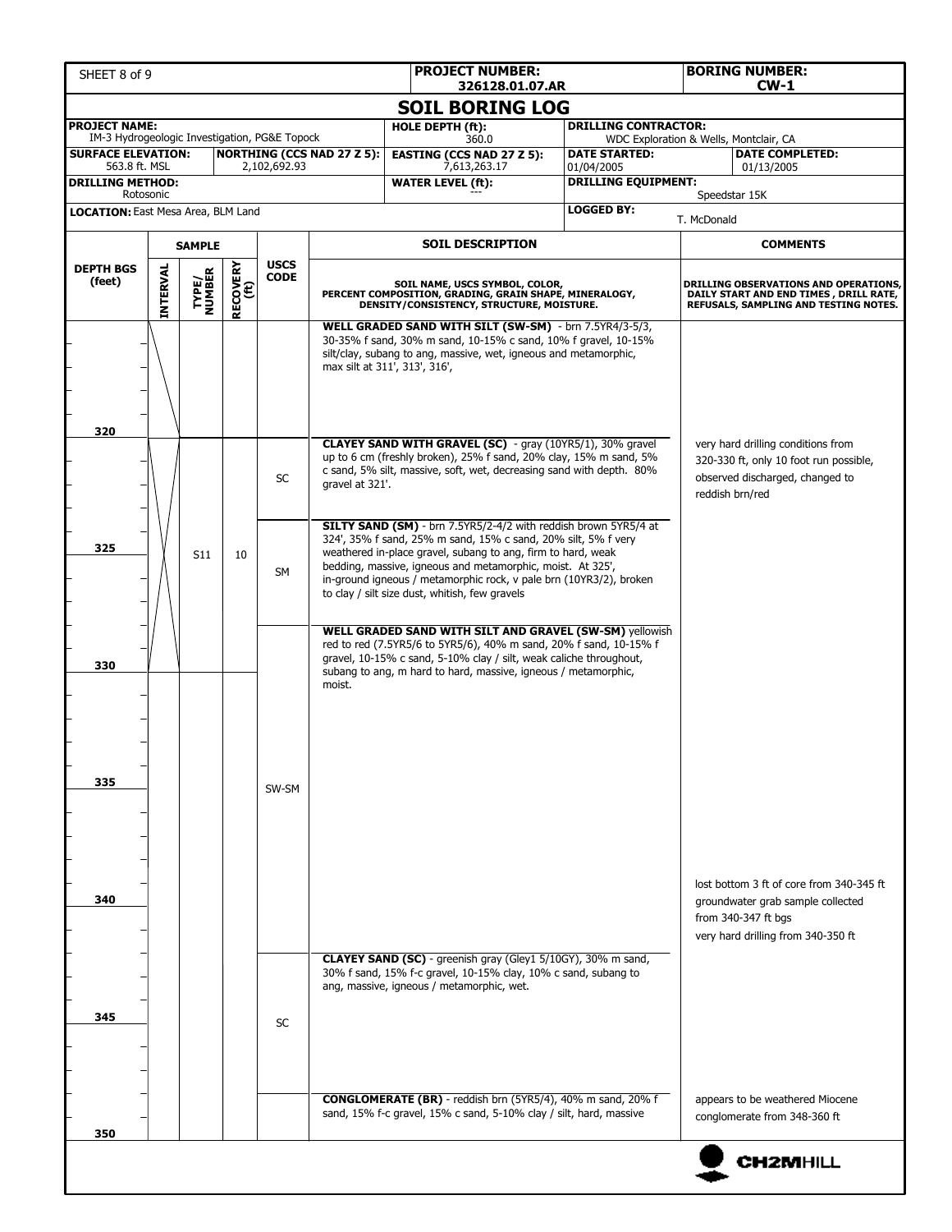| <b>SOIL BORING LOG</b><br><b>PROJECT NAME:</b><br><b>DRILLING CONTRACTOR:</b><br>HOLE DEPTH (ft):<br>IM-3 Hydrogeologic Investigation, PG&E Topock<br>WDC Exploration & Wells, Montclair, CA<br>360.0<br><b>NORTHING (CCS NAD 27 Z 5):</b><br><b>EASTING (CCS NAD 27 Z 5):</b><br><b>DATE COMPLETED:</b><br><b>SURFACE ELEVATION:</b><br><b>DATE STARTED:</b><br>563.8 ft. MSL<br>2,102,692.93<br>7,613,263.17<br>01/04/2005<br>01/13/2005<br><b>DRILLING EQUIPMENT:</b><br><b>WATER LEVEL (ft):</b><br>Rotosonic<br>Speedstar 15K<br><b>LOGGED BY:</b><br>T. McDonald<br><b>SOIL DESCRIPTION</b><br><b>COMMENTS</b><br><b>SAMPLE</b><br><b>USCS</b><br><b>RECOVERY</b><br>(ft)<br><b>INTERVAL</b><br><b>DEPTH BGS</b><br><b>TYPE/<br/>NUMBER</b><br><b>CODE</b><br>(feet)<br>SOIL NAME, USCS SYMBOL, COLOR,<br>DRILLING OBSERVATIONS AND OPERATIONS,<br>PERCENT COMPOSITION, GRADING, GRAIN SHAPE, MINERALOGY,<br>DAILY START AND END TIMES, DRILL RATE,<br>DENSITY/CONSISTENCY, STRUCTURE, MOISTURE.<br>REFUSALS, SAMPLING AND TESTING NOTES.<br>WELL GRADED SAND WITH SILT (SW-SM) - brn 7.5YR4/3-5/3,<br>30-35% f sand, 30% m sand, 10-15% c sand, 10% f gravel, 10-15%<br>silt/clay, subang to ang, massive, wet, igneous and metamorphic,<br>max silt at 311', 313', 316',<br>320<br>CLAYEY SAND WITH GRAVEL (SC) - gray (10YR5/1), 30% gravel<br>very hard drilling conditions from<br>up to 6 cm (freshly broken), 25% f sand, 20% clay, 15% m sand, 5%<br>320-330 ft, only 10 foot run possible,<br>c sand, 5% silt, massive, soft, wet, decreasing sand with depth. 80%<br>observed discharged, changed to<br>SC<br>gravel at 321'.<br>reddish brn/red<br><b>SILTY SAND (SM)</b> - brn 7.5YR5/2-4/2 with reddish brown 5YR5/4 at<br>324', 35% f sand, 25% m sand, 15% c sand, 20% silt, 5% f very<br>325<br>weathered in-place gravel, subang to ang, firm to hard, weak<br>S <sub>11</sub><br>10<br>bedding, massive, igneous and metamorphic, moist. At 325',<br>SM<br>in-ground igneous / metamorphic rock, v pale brn (10YR3/2), broken<br>to clay / silt size dust, whitish, few gravels<br><b>WELL GRADED SAND WITH SILT AND GRAVEL (SW-SM) yellowish</b><br>red to red (7.5YR5/6 to 5YR5/6), 40% m sand, 20% f sand, 10-15% f<br>gravel, 10-15% c sand, 5-10% clay / silt, weak caliche throughout,<br>330<br>subang to ang, m hard to hard, massive, igneous / metamorphic,<br>moist.<br>335<br>SW-SM<br>lost bottom 3 ft of core from 340-345 ft<br>340<br>groundwater grab sample collected<br>from 340-347 ft bgs<br>very hard drilling from 340-350 ft<br><b>CLAYEY SAND (SC)</b> - greenish gray (Gley1 5/10GY), 30% m sand,<br>30% f sand, 15% f-c gravel, 10-15% clay, 10% c sand, subang to<br>ang, massive, igneous / metamorphic, wet.<br>345<br><b>SC</b><br><b>CONGLOMERATE (BR)</b> - reddish brn (5YR5/4), 40% m sand, 20% f<br>appears to be weathered Miocene<br>sand, 15% f-c gravel, 15% c sand, 5-10% clay / silt, hard, massive<br>conglomerate from 348-360 ft<br>350 | SHEET 8 of 9 |  |  |  |  | <b>PROJECT NUMBER:</b><br>326128.01.07.AR |  | <b>BORING NUMBER:</b><br>$CW-1$ |  |  |  |
|--------------------------------------------------------------------------------------------------------------------------------------------------------------------------------------------------------------------------------------------------------------------------------------------------------------------------------------------------------------------------------------------------------------------------------------------------------------------------------------------------------------------------------------------------------------------------------------------------------------------------------------------------------------------------------------------------------------------------------------------------------------------------------------------------------------------------------------------------------------------------------------------------------------------------------------------------------------------------------------------------------------------------------------------------------------------------------------------------------------------------------------------------------------------------------------------------------------------------------------------------------------------------------------------------------------------------------------------------------------------------------------------------------------------------------------------------------------------------------------------------------------------------------------------------------------------------------------------------------------------------------------------------------------------------------------------------------------------------------------------------------------------------------------------------------------------------------------------------------------------------------------------------------------------------------------------------------------------------------------------------------------------------------------------------------------------------------------------------------------------------------------------------------------------------------------------------------------------------------------------------------------------------------------------------------------------------------------------------------------------------------------------------------------------------------------------------------------------------------------------------------------------------------------------------------------------------------------------------------------------------------------------------------------------------------------------------------------------------------------------------------------------------------------------------------------------------------------------------------------------------------------------------------------------------------------------------------------------------------------------------------------|--------------|--|--|--|--|-------------------------------------------|--|---------------------------------|--|--|--|
|                                                                                                                                                                                                                                                                                                                                                                                                                                                                                                                                                                                                                                                                                                                                                                                                                                                                                                                                                                                                                                                                                                                                                                                                                                                                                                                                                                                                                                                                                                                                                                                                                                                                                                                                                                                                                                                                                                                                                                                                                                                                                                                                                                                                                                                                                                                                                                                                                                                                                                                                                                                                                                                                                                                                                                                                                                                                                                                                                                                                              |              |  |  |  |  |                                           |  |                                 |  |  |  |
|                                                                                                                                                                                                                                                                                                                                                                                                                                                                                                                                                                                                                                                                                                                                                                                                                                                                                                                                                                                                                                                                                                                                                                                                                                                                                                                                                                                                                                                                                                                                                                                                                                                                                                                                                                                                                                                                                                                                                                                                                                                                                                                                                                                                                                                                                                                                                                                                                                                                                                                                                                                                                                                                                                                                                                                                                                                                                                                                                                                                              |              |  |  |  |  |                                           |  |                                 |  |  |  |
| <b>DRILLING METHOD:</b><br>LOCATION: East Mesa Area, BLM Land                                                                                                                                                                                                                                                                                                                                                                                                                                                                                                                                                                                                                                                                                                                                                                                                                                                                                                                                                                                                                                                                                                                                                                                                                                                                                                                                                                                                                                                                                                                                                                                                                                                                                                                                                                                                                                                                                                                                                                                                                                                                                                                                                                                                                                                                                                                                                                                                                                                                                                                                                                                                                                                                                                                                                                                                                                                                                                                                                |              |  |  |  |  |                                           |  |                                 |  |  |  |
|                                                                                                                                                                                                                                                                                                                                                                                                                                                                                                                                                                                                                                                                                                                                                                                                                                                                                                                                                                                                                                                                                                                                                                                                                                                                                                                                                                                                                                                                                                                                                                                                                                                                                                                                                                                                                                                                                                                                                                                                                                                                                                                                                                                                                                                                                                                                                                                                                                                                                                                                                                                                                                                                                                                                                                                                                                                                                                                                                                                                              |              |  |  |  |  |                                           |  |                                 |  |  |  |
|                                                                                                                                                                                                                                                                                                                                                                                                                                                                                                                                                                                                                                                                                                                                                                                                                                                                                                                                                                                                                                                                                                                                                                                                                                                                                                                                                                                                                                                                                                                                                                                                                                                                                                                                                                                                                                                                                                                                                                                                                                                                                                                                                                                                                                                                                                                                                                                                                                                                                                                                                                                                                                                                                                                                                                                                                                                                                                                                                                                                              |              |  |  |  |  |                                           |  |                                 |  |  |  |
|                                                                                                                                                                                                                                                                                                                                                                                                                                                                                                                                                                                                                                                                                                                                                                                                                                                                                                                                                                                                                                                                                                                                                                                                                                                                                                                                                                                                                                                                                                                                                                                                                                                                                                                                                                                                                                                                                                                                                                                                                                                                                                                                                                                                                                                                                                                                                                                                                                                                                                                                                                                                                                                                                                                                                                                                                                                                                                                                                                                                              |              |  |  |  |  |                                           |  |                                 |  |  |  |
|                                                                                                                                                                                                                                                                                                                                                                                                                                                                                                                                                                                                                                                                                                                                                                                                                                                                                                                                                                                                                                                                                                                                                                                                                                                                                                                                                                                                                                                                                                                                                                                                                                                                                                                                                                                                                                                                                                                                                                                                                                                                                                                                                                                                                                                                                                                                                                                                                                                                                                                                                                                                                                                                                                                                                                                                                                                                                                                                                                                                              |              |  |  |  |  |                                           |  |                                 |  |  |  |
|                                                                                                                                                                                                                                                                                                                                                                                                                                                                                                                                                                                                                                                                                                                                                                                                                                                                                                                                                                                                                                                                                                                                                                                                                                                                                                                                                                                                                                                                                                                                                                                                                                                                                                                                                                                                                                                                                                                                                                                                                                                                                                                                                                                                                                                                                                                                                                                                                                                                                                                                                                                                                                                                                                                                                                                                                                                                                                                                                                                                              |              |  |  |  |  |                                           |  |                                 |  |  |  |
|                                                                                                                                                                                                                                                                                                                                                                                                                                                                                                                                                                                                                                                                                                                                                                                                                                                                                                                                                                                                                                                                                                                                                                                                                                                                                                                                                                                                                                                                                                                                                                                                                                                                                                                                                                                                                                                                                                                                                                                                                                                                                                                                                                                                                                                                                                                                                                                                                                                                                                                                                                                                                                                                                                                                                                                                                                                                                                                                                                                                              |              |  |  |  |  |                                           |  |                                 |  |  |  |
|                                                                                                                                                                                                                                                                                                                                                                                                                                                                                                                                                                                                                                                                                                                                                                                                                                                                                                                                                                                                                                                                                                                                                                                                                                                                                                                                                                                                                                                                                                                                                                                                                                                                                                                                                                                                                                                                                                                                                                                                                                                                                                                                                                                                                                                                                                                                                                                                                                                                                                                                                                                                                                                                                                                                                                                                                                                                                                                                                                                                              |              |  |  |  |  |                                           |  |                                 |  |  |  |
|                                                                                                                                                                                                                                                                                                                                                                                                                                                                                                                                                                                                                                                                                                                                                                                                                                                                                                                                                                                                                                                                                                                                                                                                                                                                                                                                                                                                                                                                                                                                                                                                                                                                                                                                                                                                                                                                                                                                                                                                                                                                                                                                                                                                                                                                                                                                                                                                                                                                                                                                                                                                                                                                                                                                                                                                                                                                                                                                                                                                              |              |  |  |  |  |                                           |  |                                 |  |  |  |
|                                                                                                                                                                                                                                                                                                                                                                                                                                                                                                                                                                                                                                                                                                                                                                                                                                                                                                                                                                                                                                                                                                                                                                                                                                                                                                                                                                                                                                                                                                                                                                                                                                                                                                                                                                                                                                                                                                                                                                                                                                                                                                                                                                                                                                                                                                                                                                                                                                                                                                                                                                                                                                                                                                                                                                                                                                                                                                                                                                                                              |              |  |  |  |  |                                           |  |                                 |  |  |  |
|                                                                                                                                                                                                                                                                                                                                                                                                                                                                                                                                                                                                                                                                                                                                                                                                                                                                                                                                                                                                                                                                                                                                                                                                                                                                                                                                                                                                                                                                                                                                                                                                                                                                                                                                                                                                                                                                                                                                                                                                                                                                                                                                                                                                                                                                                                                                                                                                                                                                                                                                                                                                                                                                                                                                                                                                                                                                                                                                                                                                              |              |  |  |  |  |                                           |  |                                 |  |  |  |
|                                                                                                                                                                                                                                                                                                                                                                                                                                                                                                                                                                                                                                                                                                                                                                                                                                                                                                                                                                                                                                                                                                                                                                                                                                                                                                                                                                                                                                                                                                                                                                                                                                                                                                                                                                                                                                                                                                                                                                                                                                                                                                                                                                                                                                                                                                                                                                                                                                                                                                                                                                                                                                                                                                                                                                                                                                                                                                                                                                                                              |              |  |  |  |  |                                           |  |                                 |  |  |  |
|                                                                                                                                                                                                                                                                                                                                                                                                                                                                                                                                                                                                                                                                                                                                                                                                                                                                                                                                                                                                                                                                                                                                                                                                                                                                                                                                                                                                                                                                                                                                                                                                                                                                                                                                                                                                                                                                                                                                                                                                                                                                                                                                                                                                                                                                                                                                                                                                                                                                                                                                                                                                                                                                                                                                                                                                                                                                                                                                                                                                              |              |  |  |  |  |                                           |  |                                 |  |  |  |
|                                                                                                                                                                                                                                                                                                                                                                                                                                                                                                                                                                                                                                                                                                                                                                                                                                                                                                                                                                                                                                                                                                                                                                                                                                                                                                                                                                                                                                                                                                                                                                                                                                                                                                                                                                                                                                                                                                                                                                                                                                                                                                                                                                                                                                                                                                                                                                                                                                                                                                                                                                                                                                                                                                                                                                                                                                                                                                                                                                                                              |              |  |  |  |  |                                           |  |                                 |  |  |  |
| <b>CH2MHILL</b>                                                                                                                                                                                                                                                                                                                                                                                                                                                                                                                                                                                                                                                                                                                                                                                                                                                                                                                                                                                                                                                                                                                                                                                                                                                                                                                                                                                                                                                                                                                                                                                                                                                                                                                                                                                                                                                                                                                                                                                                                                                                                                                                                                                                                                                                                                                                                                                                                                                                                                                                                                                                                                                                                                                                                                                                                                                                                                                                                                                              |              |  |  |  |  |                                           |  |                                 |  |  |  |